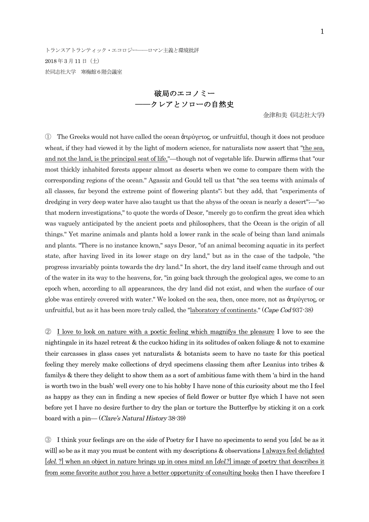トランスアトランティック・エコロジー––ロマン主義と環境批評 2018 年3 月11 日(土) 於同志社大学 寒梅館6階会議室

> 破局のエコノミー ――クレアとソローの自然史

> > 金津和美 (同志社大学)

① The Greeks would not have called the ocean ἀτρύγετος, or unfruitful, though it does not produce wheat, if they had viewed it by the light of modern science, for naturalists now assert that "the sea, and not the land, is the principal seat of life,"—though not of vegetable life. Darwin affirms that "our most thickly inhabited forests appear almost as deserts when we come to compare them with the corresponding regions of the ocean." Agassiz and Gould tell us that "the sea teems with animals of all classes, far beyond the extreme point of flowering plants"; but they add, that "experiments of dredging in very deep water have also taught us that the abyss of the ocean is nearly a desert";—"so that modern investigations," to quote the words of Desor, "merely go to confirm the great idea which was vaguely anticipated by the ancient poets and philosophers, that the Ocean is the origin of all things." Yet marine animals and plants hold a lower rank in the scale of being than land animals and plants. "There is no instance known," says Desor, "of an animal becoming aquatic in its perfect state, after having lived in its lower stage on dry land," but as in the case of the tadpole, "the progress invariably points towards the dry land." In short, the dry land itself came through and out of the water in its way to the heavens, for, "in going back through the geological ages, we come to an epoch when, according to all appearances, the dry land did not exist, and when the surface of our globe was entirely covered with water." We looked on the sea, then, once more, not as ἀτρύγετος, or unfruitful, but as it has been more truly called, the "laboratory of continents." (Cape Cod 937-38)

② I love to look on nature with a poetic feeling which magnifys the pleasure I love to see the nightingale in its hazel retreat & the cuckoo hiding in its solitudes of oaken foliage & not to examine their carcasses in glass cases yet naturalists & botanists seem to have no taste for this poetical feeling they merely make collections of dryd specimens classing them after Leanius into tribes & familys & there they delight to show them as a sort of ambitious fame with them 'a bird in the hand is worth two in the bush' well every one to his hobby I have none of this curiosity about me tho I feel as happy as they can in finding a new species of field flower or butter flye which I have not seen before yet I have no desire further to dry the plan or torture the Butterflye by sticking it on a cork board with a pin— (Clare's Natural History 38-39)

③ I think your feelings are on the side of Poetry for I have no speciments to send you [del. be as it will] so be as it may you must be content with my descriptions & observations I always feel delighted [del. ?] when an object in nature brings up in ones mind an [del.?] image of poetry that describes it from some favorite author you have a better opportunity of consulting books then I have therefore I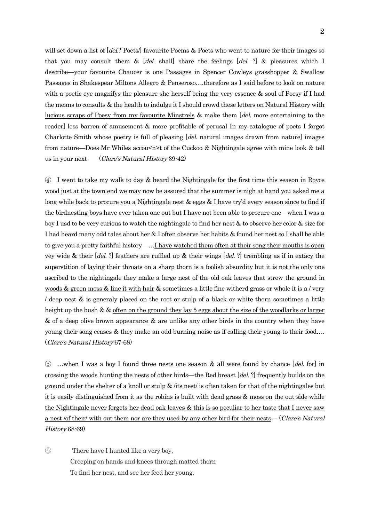will set down a list of [del.? Poets] favourite Poems & Poets who went to nature for their images so that you may consult them  $\&$  [del. shall] share the feelings [del. ?]  $\&$  pleasures which I describe—your favourite Chaucer is one Passages in Spencer Cowleys grasshopper & Swallow Passages in Shakespear Miltons Allegro & Penseroso….therefore as I said before to look on nature with a poetic eye magnifys the pleasure she herself being the very essence & soul of Poesy if I had the means to consults & the health to indulge it I should crowd these letters on Natural History with lucious scraps of Poesy from my favourite Minstrels & make them [del. more entertaining to the reader] less barren of amusement & more profitable of perusal In my catalogue of poets I forgot Charlotte Smith whose poetry is full of pleasing [del. natural images drawn from nature] images from nature—Does Mr Whiles accou<n>t of the Cuckoo & Nightingale agree with mine look & tell us in your next (Clare's Natural History 39-42)

④ I went to take my walk to day & heard the Nightingale for the first time this season in Royce wood just at the town end we may now be assured that the summer is nigh at hand you asked me a long while back to procure you a Nightingale nest & eggs & I have try'd every season since to find if the birdnesting boys have ever taken one out but I have not been able to procure one—when I was a boy I usd to be very curious to watch the nightingale to find her nest & to observe her color & size for I had heard many odd tales about her & I often observe her habits & found her nest so I shall be able to give you a pretty faithful history—…I have watched them often at their song their mouths is open vey wide & their [del. ?] feathers are ruffled up & their wings [del. ?] trembling as if in extacy the superstition of laying their throats on a sharp thorn is a foolish absurdity but it is not the only one ascribed to the nightingale they make a large nest of the old oak leaves that strew the ground in woods & green moss & line it with hair & sometimes a little fine witherd grass or whole it is a / very / deep nest & is generaly placed on the root or stulp of a black or white thorn sometimes a little height up the bush & & often on the ground they lay 5 eggs about the size of the woodlarks or larger & of a deep olive brown appearance & are unlike any other birds in the country when they have young their song ceases & they make an odd burning noise as if calling their young to their food…. (Clare's Natural History 67-68)

⑤ …when I was a boy I found three nests one season & all were found by chance [del. for] in crossing the woods hunting the nests of other birds—the Red breast [del. ?] frequently builds on the ground under the shelter of a knoll or stulp & /its nest/ is often taken for that of the nightingales but it is easily distinguished from it as the robins is built with dead grass & moss on the out side while the Nightingale never forgets her dead oak leaves & this is so peculiar to her taste that I never saw a nest /of their/ with out them nor are they used by any other bird for their nests— (Clare's Natural History 68-69)

⑥ There have I hunted like a very boy, Creeping on hands and knees through matted thorn To find her nest, and see her feed her young.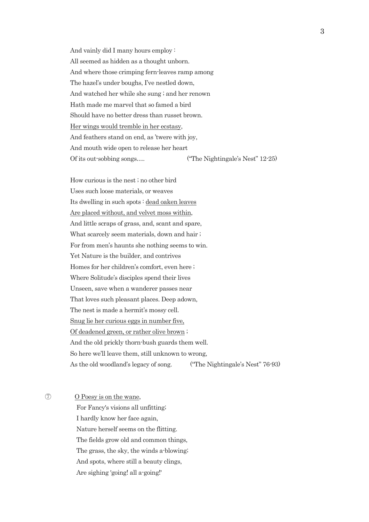And vainly did I many hours employ : All seemed as hidden as a thought unborn. And where those crimping fern-leaves ramp among The hazel's under boughs, I've nestled down, And watched her while she sung ; and her renown Hath made me marvel that so famed a bird Should have no better dress than russet brown. Her wings would tremble in her ecstasy, And feathers stand on end, as 'twere with joy, And mouth wide open to release her heart Of its out-sobbing songs…. ("The Nightingale's Nest" 12-25)

How curious is the nest ; no other bird Uses such loose materials, or weaves Its dwelling in such spots : dead oaken leaves Are placed without, and velvet moss within, And little scraps of grass, and, scant and spare, What scarcely seem materials, down and hair ; For from men's haunts she nothing seems to win. Yet Nature is the builder, and contrives Homes for her children's comfort, even here ; Where Solitude's disciples spend their lives Unseen, save when a wanderer passes near That loves such pleasant places. Deep adown, The nest is made a hermit's mossy cell. Snug lie her curious eggs in number five, Of deadened green, or rather olive brown ; And the old prickly thorn-bush guards them well. So here we'll leave them, still unknown to wrong, As the old woodland's legacy of song. ("The Nightingale's Nest" 76-93)

⑦ O Poesy is on the wane,

For Fancy's visions all unfitting; I hardly know her face again, Nature herself seems on the flitting. The fields grow old and common things, The grass, the sky, the winds a-blowing; And spots, where still a beauty clings, Are sighing 'going! all a-going!'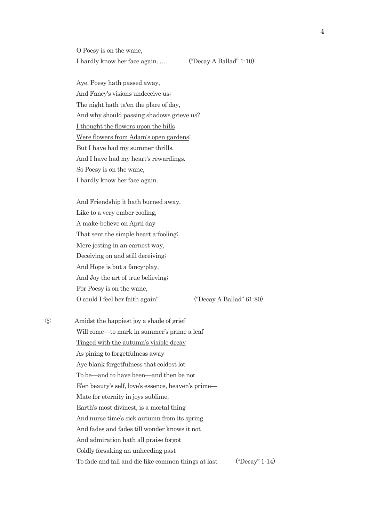O Poesy is on the wane,

I hardly know her face again. …. ("Decay A Ballad" 1-10)

Aye, Poesy hath passed away, And Fancy's visions undeceive us; The night hath ta'en the place of day, And why should passing shadows grieve us? I thought the flowers upon the hills Were flowers from Adam's open gardens; But I have had my summer thrills, And I have had my heart's rewardings. So Poesy is on the wane, I hardly know her face again.

And Friendship it hath burned away, Like to a very ember cooling, A make-believe on April day That sent the simple heart a-fooling; Mere jesting in an earnest way, Deceiving on and still deceiving; And Hope is but a fancy-play, And Joy the art of true believing; For Poesy is on the wane, O could I feel her faith again! ("Decay A Ballad" 61-80)

⑧ Amidst the happiest joy a shade of grief Will come—to mark in summer's prime a leaf Tinged with the autumn's visible decay As pining to forgetfulness away Aye blank forgetfulness that coldest lot To be—and to have been—and then be not E'en beauty's self, love's essence, heaven's prime— Mate for eternity in joys sublime, Earth's most divinest, is a mortal thing And nurse time's sick autumn from its spring And fades and fades till wonder knows it not And admiration hath all praise forgot Coldly forsaking an unheeding past To fade and fall and die like common things at last ("Decay" 1-14)